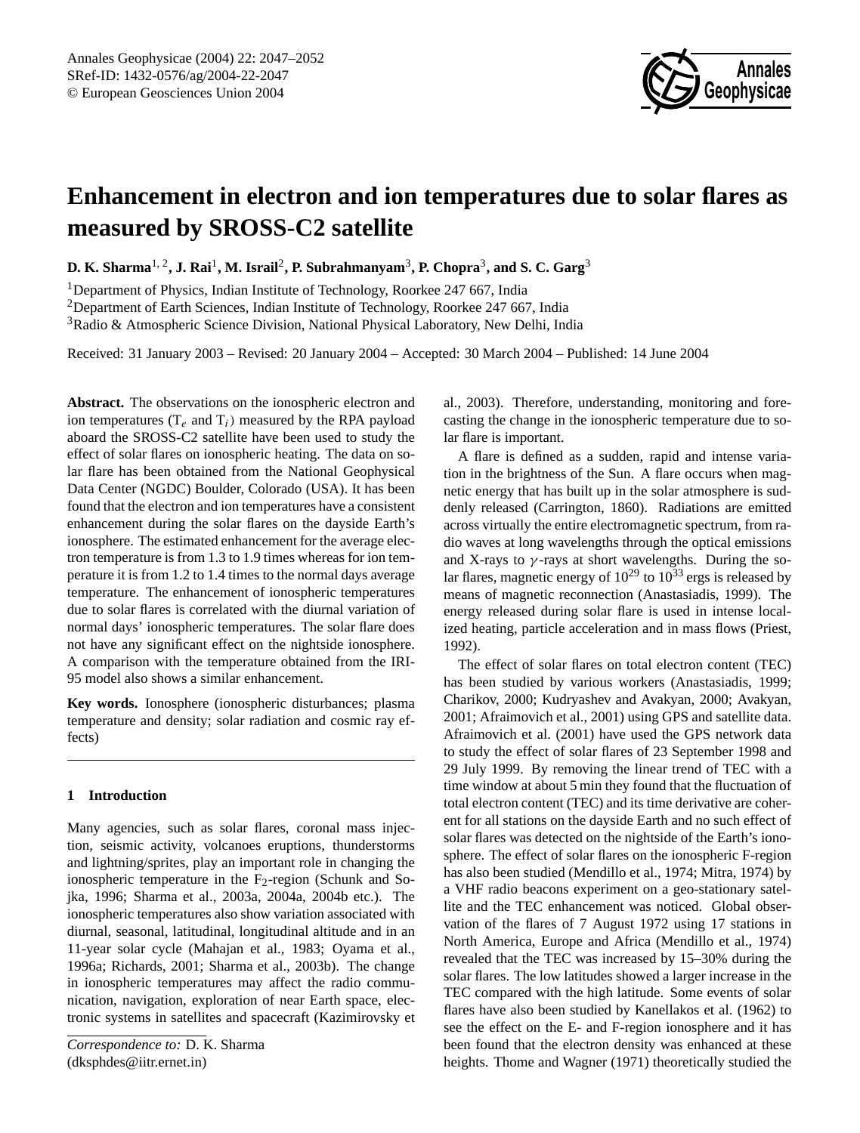

# **Enhancement in electron and ion temperatures due to solar flares as measured by SROSS-C2 satellite**

**D. K. Sharma**1, 2**, J. Rai**<sup>1</sup> **, M. Israil**<sup>2</sup> **, P. Subrahmanyam**<sup>3</sup> **, P. Chopra**<sup>3</sup> **, and S. C. Garg**<sup>3</sup>

<sup>1</sup>Department of Physics, Indian Institute of Technology, Roorkee 247 667, India

<sup>2</sup>Department of Earth Sciences, Indian Institute of Technology, Roorkee 247 667, India

<sup>3</sup>Radio & Atmospheric Science Division, National Physical Laboratory, New Delhi, India

Received: 31 January 2003 – Revised: 20 January 2004 – Accepted: 30 March 2004 – Published: 14 June 2004

**Abstract.** The observations on the ionospheric electron and ion temperatures ( $T_e$  and  $T_i$ ) measured by the RPA payload aboard the SROSS-C2 satellite have been used to study the effect of solar flares on ionospheric heating. The data on solar flare has been obtained from the National Geophysical Data Center (NGDC) Boulder, Colorado (USA). It has been found that the electron and ion temperatures have a consistent enhancement during the solar flares on the dayside Earth's ionosphere. The estimated enhancement for the average electron temperature is from 1.3 to 1.9 times whereas for ion temperature it is from 1.2 to 1.4 times to the normal days average temperature. The enhancement of ionospheric temperatures due to solar flares is correlated with the diurnal variation of normal days' ionospheric temperatures. The solar flare does not have any significant effect on the nightside ionosphere. A comparison with the temperature obtained from the IRI-95 model also shows a similar enhancement.

**Key words.** Ionosphere (ionospheric disturbances; plasma temperature and density; solar radiation and cosmic ray effects)

## **1 Introduction**

Many agencies, such as solar flares, coronal mass injection, seismic activity, volcanoes eruptions, thunderstorms and lightning/sprites, play an important role in changing the ionospheric temperature in the  $F_2$ -region (Schunk and Sojka, 1996; Sharma et al., 2003a, 2004a, 2004b etc.). The ionospheric temperatures also show variation associated with diurnal, seasonal, latitudinal, longitudinal altitude and in an 11-year solar cycle (Mahajan et al., 1983; Oyama et al., 1996a; Richards, 2001; Sharma et al., 2003b). The change in ionospheric temperatures may affect the radio communication, navigation, exploration of near Earth space, electronic systems in satellites and spacecraft (Kazimirovsky et al., 2003). Therefore, understanding, monitoring and forecasting the change in the ionospheric temperature due to solar flare is important.

A flare is defined as a sudden, rapid and intense variation in the brightness of the Sun. A flare occurs when magnetic energy that has built up in the solar atmosphere is suddenly released (Carrington, 1860). Radiations are emitted across virtually the entire electromagnetic spectrum, from radio waves at long wavelengths through the optical emissions and X-rays to  $\gamma$ -rays at short wavelengths. During the solar flares, magnetic energy of  $10^{29}$  to  $10^{33}$  ergs is released by means of magnetic reconnection (Anastasiadis, 1999). The energy released during solar flare is used in intense localized heating, particle acceleration and in mass flows (Priest, 1992).

The effect of solar flares on total electron content (TEC) has been studied by various workers (Anastasiadis, 1999; Charikov, 2000; Kudryashev and Avakyan, 2000; Avakyan, 2001; Afraimovich et al., 2001) using GPS and satellite data. Afraimovich et al. (2001) have used the GPS network data to study the effect of solar flares of 23 September 1998 and 29 July 1999. By removing the linear trend of TEC with a time window at about 5 min they found that the fluctuation of total electron content (TEC) and its time derivative are coherent for all stations on the dayside Earth and no such effect of solar flares was detected on the nightside of the Earth's ionosphere. The effect of solar flares on the ionospheric F-region has also been studied (Mendillo et al., 1974; Mitra, 1974) by a VHF radio beacons experiment on a geo-stationary satellite and the TEC enhancement was noticed. Global observation of the flares of 7 August 1972 using 17 stations in North America, Europe and Africa (Mendillo et al., 1974) revealed that the TEC was increased by 15–30% during the solar flares. The low latitudes showed a larger increase in the TEC compared with the high latitude. Some events of solar flares have also been studied by Kanellakos et al. (1962) to see the effect on the E- and F-region ionosphere and it has been found that the electron density was enhanced at these heights. Thome and Wagner (1971) theoretically studied the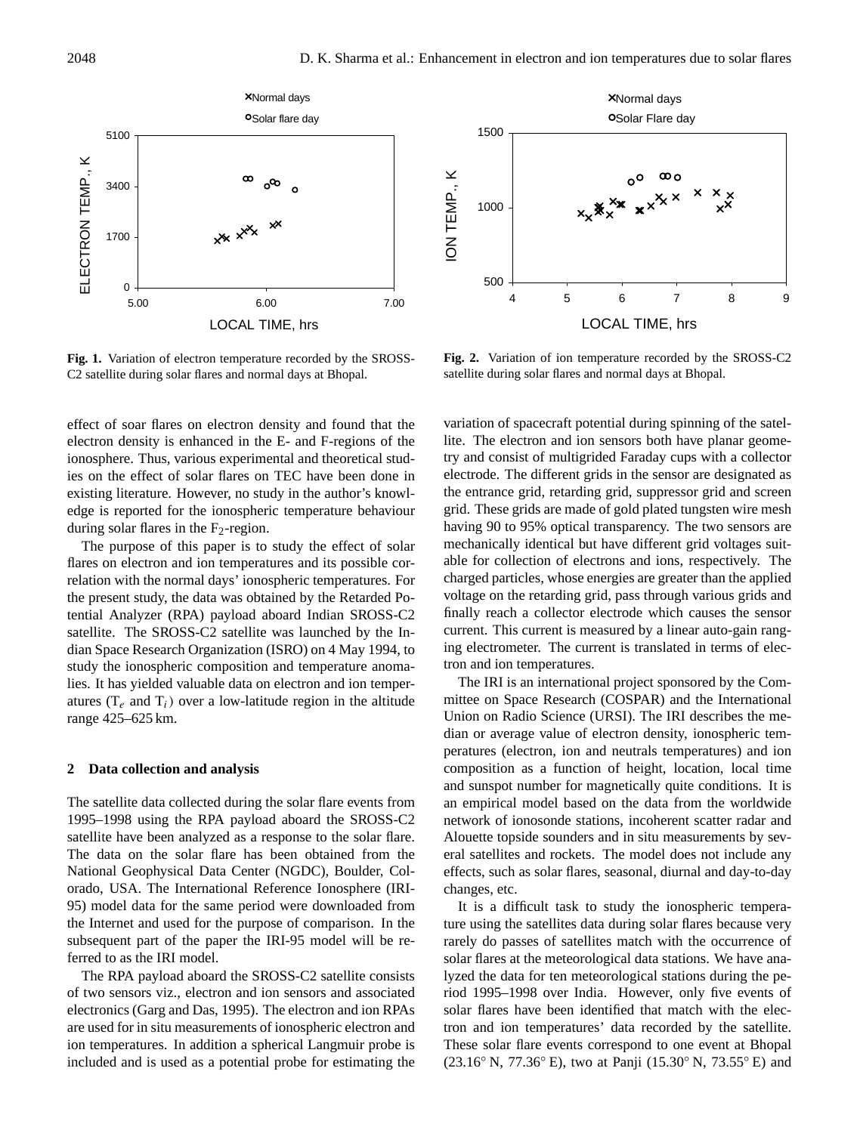

**(Fig. 1) Fig. 1.** Variation of electron temperature recorded by the SROSS-C2 satellite during solar flares and normal days at Bhopal.

existing literature. However, no study in the author's knowlionosphere. Thus, various experimental and theoretical studies on the effect of solar flares on TEC have been done in effect of soar flares on electron density and found that the electron density is enhanced in the E- and F-regions of the edge is reported for the ionospheric temperature behaviour during solar flares in the  $F_2$ -region.

satellite. The SROSS-C2 satellite was launched by the Inflares on electron and ion temperatures and its possible cordian Space Research Organization (ISRO) on 4 May 1994, to ring<br>The<br>atio<br>: pre atures ( $T_e$  and  $T_i$ ) over a low-latitude region in the altitude study the ionospheric composition and temperature anoma-The purpose of this paper is to study the effect of solar relation with the normal days' ionospheric temperatures. For the present study, the data was obtained by the Retarded Potential Analyzer (RPA) payload aboard Indian SROSS-C2 lies. It has yielded valuable data on electron and ion temperrange 425–625 km.

#### **2 Data collection and analysis**

The satellite data collected during the solar flare events from 1995–1998 using the RPA payload aboard the SROSS-C2 satellite have been analyzed as a response to the solar flare. The data on the solar flare has been obtained from the National Geophysical Data Center (NGDC), Boulder, Colorado, USA. The International Reference Ionosphere (IRI-95) model data for the same period were downloaded from the Internet and used for the purpose of comparison. In the subsequent part of the paper the IRI-95 model will be referred to as the IRI model.

The RPA payload aboard the SROSS-C2 satellite consists of two sensors viz., electron and ion sensors and associated electronics (Garg and Das, 1995). The electron and ion RPAs are used for in situ measurements of ionospheric electron and ion temperatures. In addition a spherical Langmuir probe is included and is used as a potential probe for estimating the



**(Fig. 2)** satellite during solar flares and normal days at Bhopal. **Fig. 2.** Variation of ion temperature recorded by the SROSS-C2

variation of spacecraft potential during spinning of the satellite. The electron and ion sensors both have planar geometry and consist of multigrided Faraday cups with a collector electrode. The different grids in the sensor are designated as the entrance grid, retarding grid, suppressor grid and screen grid. These grids are made of gold plated tungsten wire mesh having 90 to 95% optical transparency. The two sensors are mechanically identical but have different grid voltages suitable for collection of electrons and ions, respectively. The charged particles, whose energies are greater than the applied voltage on the retarding grid, pass through various grids and finally reach a collector electrode which causes the sensor current. This current is measured by a linear auto-gain ranging electrometer. The current is translated in terms of electron and ion temperatures.

The IRI is an international project sponsored by the Committee on Space Research (COSPAR) and the International Union on Radio Science (URSI). The IRI describes the median or average value of electron density, ionospheric temperatures (electron, ion and neutrals temperatures) and ion composition as a function of height, location, local time and sunspot number for magnetically quite conditions. It is an empirical model based on the data from the worldwide network of ionosonde stations, incoherent scatter radar and Alouette topside sounders and in situ measurements by several satellites and rockets. The model does not include any effects, such as solar flares, seasonal, diurnal and day-to-day changes, etc.

It is a difficult task to study the ionospheric temperature using the satellites data during solar flares because very rarely do passes of satellites match with the occurrence of solar flares at the meteorological data stations. We have analyzed the data for ten meteorological stations during the period 1995–1998 over India. However, only five events of solar flares have been identified that match with the electron and ion temperatures' data recorded by the satellite. These solar flare events correspond to one event at Bhopal (23.16◦ N, 77.36◦ E), two at Panji (15.30◦ N, 73.55◦ E) and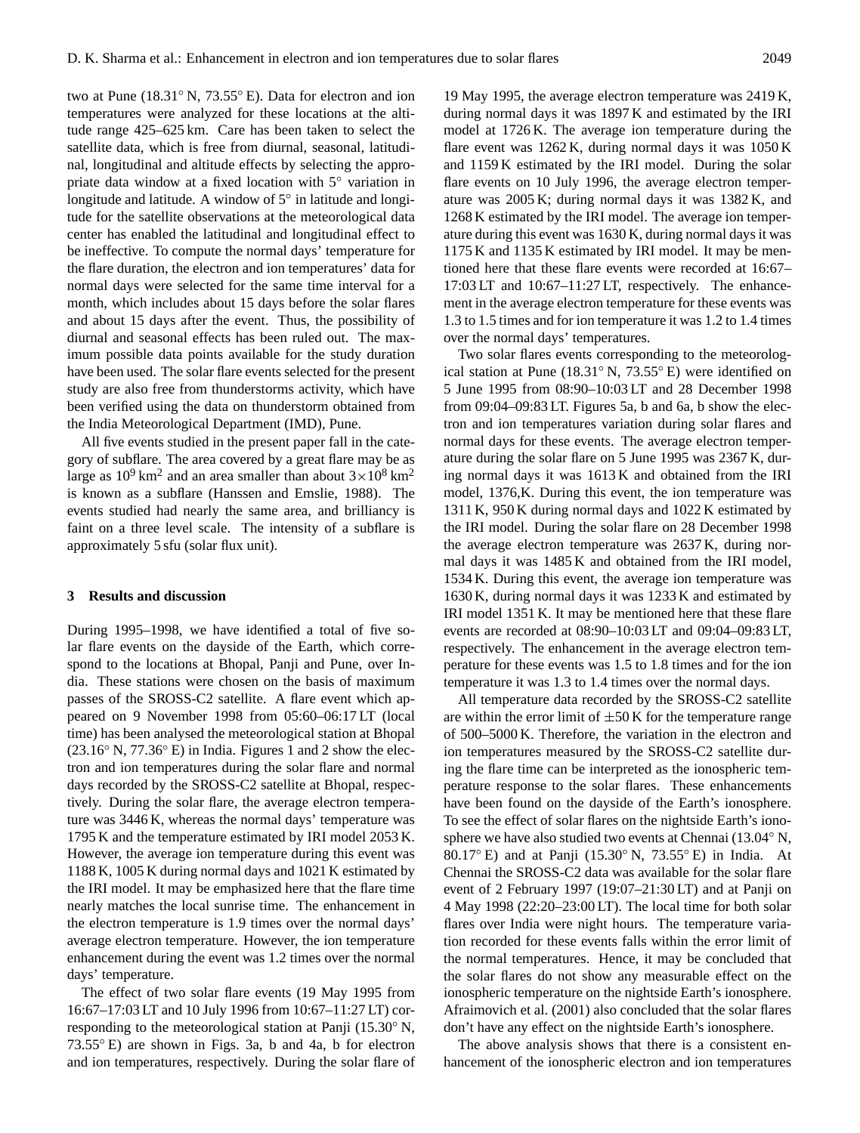two at Pune (18.31◦ N, 73.55◦ E). Data for electron and ion temperatures were analyzed for these locations at the altitude range 425–625 km. Care has been taken to select the satellite data, which is free from diurnal, seasonal, latitudinal, longitudinal and altitude effects by selecting the appropriate data window at a fixed location with 5◦ variation in longitude and latitude. A window of 5◦ in latitude and longitude for the satellite observations at the meteorological data center has enabled the latitudinal and longitudinal effect to be ineffective. To compute the normal days' temperature for the flare duration, the electron and ion temperatures' data for normal days were selected for the same time interval for a month, which includes about 15 days before the solar flares and about 15 days after the event. Thus, the possibility of diurnal and seasonal effects has been ruled out. The maximum possible data points available for the study duration have been used. The solar flare events selected for the present study are also free from thunderstorms activity, which have been verified using the data on thunderstorm obtained from the India Meteorological Department (IMD), Pune.

All five events studied in the present paper fall in the category of subflare. The area covered by a great flare may be as large as  $10^9$  km<sup>2</sup> and an area smaller than about  $3 \times 10^8$  km<sup>2</sup> is known as a subflare (Hanssen and Emslie, 1988). The events studied had nearly the same area, and brilliancy is faint on a three level scale. The intensity of a subflare is approximately 5 sfu (solar flux unit).

#### **3 Results and discussion**

During 1995–1998, we have identified a total of five solar flare events on the dayside of the Earth, which correspond to the locations at Bhopal, Panji and Pune, over India. These stations were chosen on the basis of maximum passes of the SROSS-C2 satellite. A flare event which appeared on 9 November 1998 from 05:60–06:17 LT (local time) has been analysed the meteorological station at Bhopal  $(23.16°\text{ N}, 77.36°\text{ E})$  in India. Figures 1 and 2 show the electron and ion temperatures during the solar flare and normal days recorded by the SROSS-C2 satellite at Bhopal, respectively. During the solar flare, the average electron temperature was 3446 K, whereas the normal days' temperature was 1795 K and the temperature estimated by IRI model 2053 K. However, the average ion temperature during this event was 1188 K, 1005 K during normal days and 1021 K estimated by the IRI model. It may be emphasized here that the flare time nearly matches the local sunrise time. The enhancement in the electron temperature is 1.9 times over the normal days' average electron temperature. However, the ion temperature enhancement during the event was 1.2 times over the normal days' temperature.

The effect of two solar flare events (19 May 1995 from 16:67–17:03 LT and 10 July 1996 from 10:67–11:27 LT) corresponding to the meteorological station at Panji (15.30◦ N, 73.55◦ E) are shown in Figs. 3a, b and 4a, b for electron and ion temperatures, respectively. During the solar flare of

19 May 1995, the average electron temperature was 2419 K, during normal days it was 1897 K and estimated by the IRI model at 1726 K. The average ion temperature during the flare event was 1262 K, during normal days it was 1050 K and 1159 K estimated by the IRI model. During the solar flare events on 10 July 1996, the average electron temperature was 2005 K; during normal days it was 1382 K, and 1268 K estimated by the IRI model. The average ion temperature during this event was 1630 K, during normal days it was 1175 K and 1135 K estimated by IRI model. It may be mentioned here that these flare events were recorded at 16:67– 17:03 LT and 10:67–11:27 LT, respectively. The enhancement in the average electron temperature for these events was 1.3 to 1.5 times and for ion temperature it was 1.2 to 1.4 times over the normal days' temperatures.

Two solar flares events corresponding to the meteorological station at Pune (18.31◦ N, 73.55◦ E) were identified on 5 June 1995 from 08:90–10:03 LT and 28 December 1998 from 09:04–09:83 LT. Figures 5a, b and 6a, b show the electron and ion temperatures variation during solar flares and normal days for these events. The average electron temperature during the solar flare on 5 June 1995 was 2367 K, during normal days it was 1613 K and obtained from the IRI model, 1376,K. During this event, the ion temperature was 1311 K, 950 K during normal days and 1022 K estimated by the IRI model. During the solar flare on 28 December 1998 the average electron temperature was 2637 K, during normal days it was 1485 K and obtained from the IRI model, 1534 K. During this event, the average ion temperature was 1630 K, during normal days it was 1233 K and estimated by IRI model 1351 K. It may be mentioned here that these flare events are recorded at 08:90–10:03 LT and 09:04–09:83 LT, respectively. The enhancement in the average electron temperature for these events was 1.5 to 1.8 times and for the ion temperature it was 1.3 to 1.4 times over the normal days.

All temperature data recorded by the SROSS-C2 satellite are within the error limit of  $\pm 50$  K for the temperature range of 500–5000 K. Therefore, the variation in the electron and ion temperatures measured by the SROSS-C2 satellite during the flare time can be interpreted as the ionospheric temperature response to the solar flares. These enhancements have been found on the dayside of the Earth's ionosphere. To see the effect of solar flares on the nightside Earth's ionosphere we have also studied two events at Chennai (13.04° N, 80.17◦ E) and at Panji (15.30◦ N, 73.55◦ E) in India. At Chennai the SROSS-C2 data was available for the solar flare event of 2 February 1997 (19:07–21:30 LT) and at Panji on 4 May 1998 (22:20–23:00 LT). The local time for both solar flares over India were night hours. The temperature variation recorded for these events falls within the error limit of the normal temperatures. Hence, it may be concluded that the solar flares do not show any measurable effect on the ionospheric temperature on the nightside Earth's ionosphere. Afraimovich et al. (2001) also concluded that the solar flares don't have any effect on the nightside Earth's ionosphere.

The above analysis shows that there is a consistent enhancement of the ionospheric electron and ion temperatures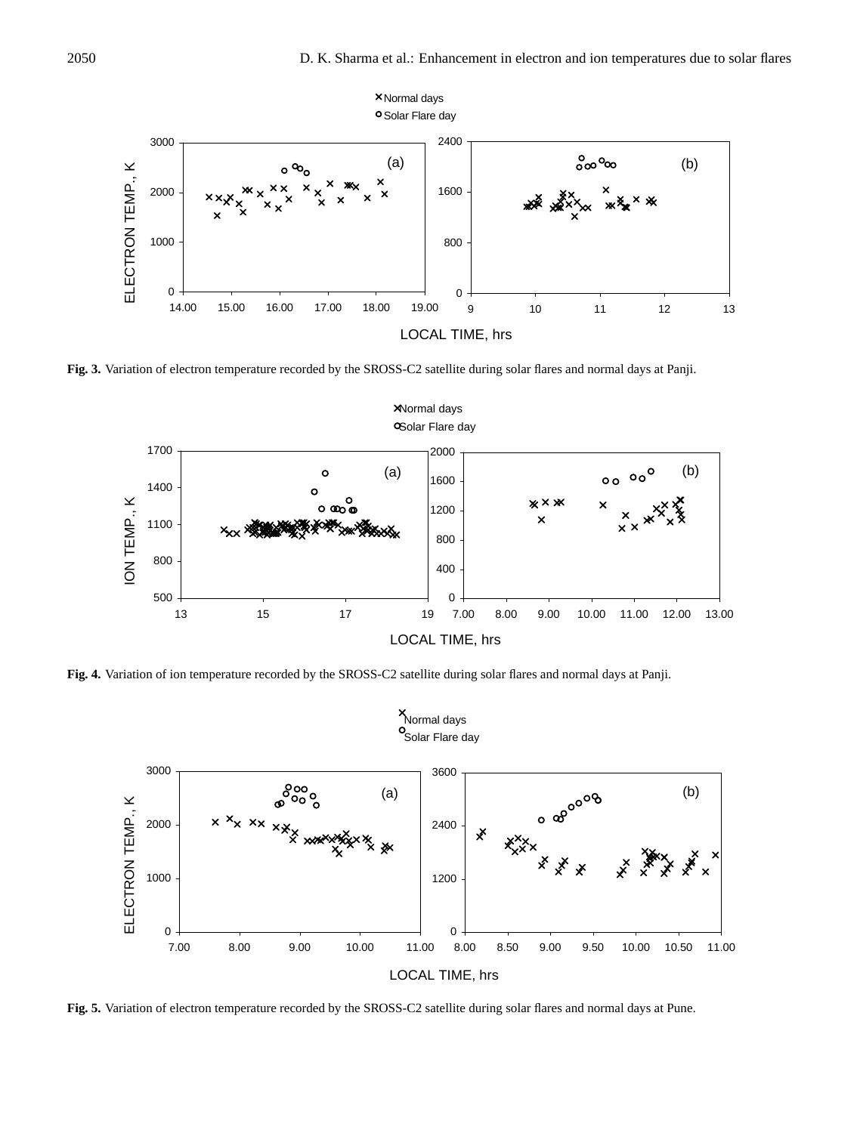

**Fig. 3.** Variation of electron temperature recorded by the SROSS-C2 satellite during solar flares and normal days at Panji.



**(Fig. 4) Fig. 4.** Variation of ion temperature recorded by the SROSS-C2 satellite during solar flares and normal days at Panji.



**(Fig. 5) Fig. 5.** Variation of electron temperature recorded by the SROSS-C2 satellite during solar flares and normal days at Pune.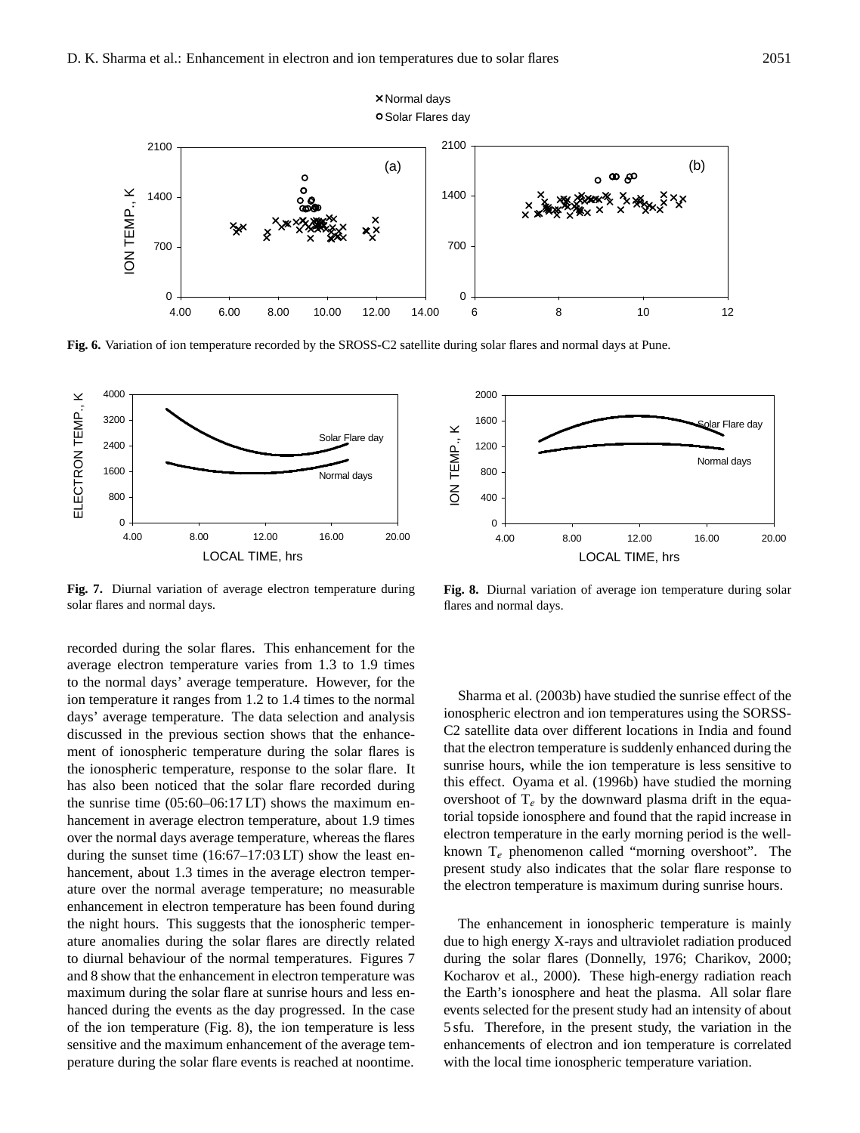

Fig. 6. Variation of ion temperature recorded by the SROSS-C2 satellite during solar flares and normal days at Pune.



**(Fig. 7) Fig. 7.** Diurnal variation of average electron temperature during solar flares and normal days.

0 over the normal days average temperature, whereas the flares hancement in average electron temperature, about 1.9 times has also been noticed that the solar flare recorded during  $n_{\Omega}$ discussed in the previous section shows that the enhancedays' average temperature. The data selection and analysis during the sunset time  $(16:67-17:03 \text{ LT})$  show the least enment of ionospheric temperature during the solar flares is ION TEMP., K hancement, about 1.3 times in the average electron temperenhancement in electron temperature has been found during recorded during the solar flares. This enhancement for the average electron temperature varies from 1.3 to 1.9 times to the normal days' average temperature. However, for the ion temperature it ranges from 1.2 to 1.4 times to the normal the ionospheric temperature, response to the solar flare. It the sunrise time (05:60–06:17 LT) shows the maximum enature over the normal average temperature; no measurable the night hours. This suggests that the ionospheric temperature anomalies during the solar flares are directly related to diurnal behaviour of the normal temperatures. Figures 7 and 8 show that the enhancement in electron temperature was maximum during the solar flare at sunrise hours and less enhanced during the events as the day progressed. In the case of the ion temperature (Fig. 8), the ion temperature is less sensitive and the maximum enhancement of the average temperature during the solar flare events is reached at noontime.



**Fig. 8.** Diurnal variation of average ion temperature during solar flares and normal days.

Sharma et al. (2003b) have studied the sunrise effect of the ionospheric electron and ion temperatures using the SORSS-C2 satellite data over different locations in India and found that the electron temperature is suddenly enhanced during the sunrise hours, while the ion temperature is less sensitive to this effect. Oyama et al. (1996b) have studied the morning overshoot of  $T_e$  by the downward plasma drift in the equatorial topside ionosphere and found that the rapid increase in electron temperature in the early morning period is the wellknown  $T_e$  phenomenon called "morning overshoot". The present study also indicates that the solar flare response to the electron temperature is maximum during sunrise hours.

The enhancement in ionospheric temperature is mainly due to high energy X-rays and ultraviolet radiation produced during the solar flares (Donnelly, 1976; Charikov, 2000; Kocharov et al., 2000). These high-energy radiation reach the Earth's ionosphere and heat the plasma. All solar flare events selected for the present study had an intensity of about 5 sfu. Therefore, in the present study, the variation in the enhancements of electron and ion temperature is correlated with the local time ionospheric temperature variation.